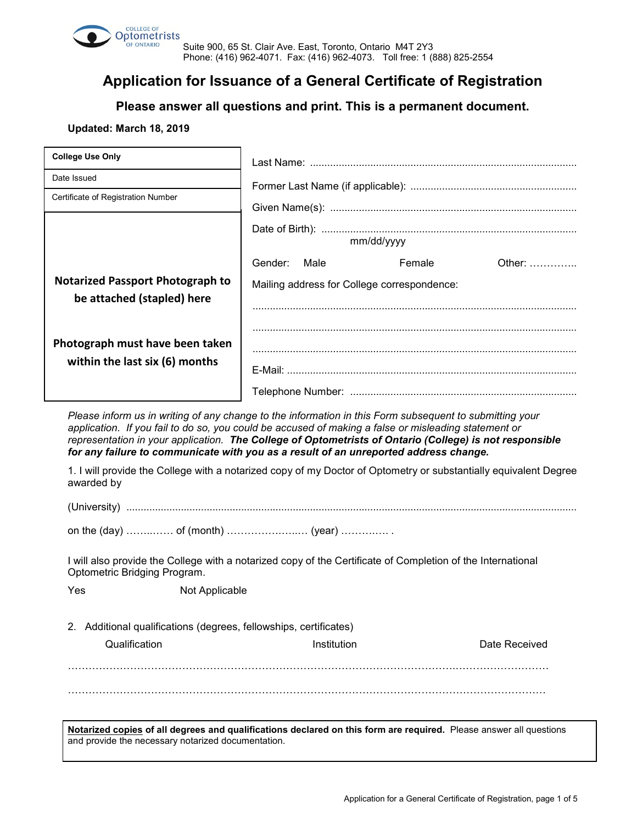

Suite 900, 65 St. Clair Ave. East, Toronto, Ontario M4T 2Y3 Phone: (416) 962-4071. Fax: (416) 962-4073. Toll free: 1 (888) 825-2554

# **Application for Issuance of a General Certificate of Registration**

**Please answer all questions and print. This is a permanent document.**

## **Updated: March 18, 2019**

and provide the necessary notarized documentation.

| Date Issued<br>Certificate of Registration Number<br>Gender:<br><b>Notarized Passport Photograph to</b><br>be attached (stapled) here<br>Photograph must have been taken<br>within the last six (6) months<br>Please inform us in writing of any change to the information in this Form subsequent to submitting your<br>application. If you fail to do so, you could be accused of making a false or misleading statement or<br>representation in your application. The College of Optometrists of Ontario (College) is not responsible<br>for any failure to communicate with you as a result of an unreported address change.<br>1. I will provide the College with a notarized copy of my Doctor of Optometry or substantially equivalent Degree<br>awarded by | Male<br>Mailing address for College correspondence: | mm/dd/yyyy | Female | Other:        |  |
|--------------------------------------------------------------------------------------------------------------------------------------------------------------------------------------------------------------------------------------------------------------------------------------------------------------------------------------------------------------------------------------------------------------------------------------------------------------------------------------------------------------------------------------------------------------------------------------------------------------------------------------------------------------------------------------------------------------------------------------------------------------------|-----------------------------------------------------|------------|--------|---------------|--|
|                                                                                                                                                                                                                                                                                                                                                                                                                                                                                                                                                                                                                                                                                                                                                                    |                                                     |            |        |               |  |
|                                                                                                                                                                                                                                                                                                                                                                                                                                                                                                                                                                                                                                                                                                                                                                    |                                                     |            |        |               |  |
|                                                                                                                                                                                                                                                                                                                                                                                                                                                                                                                                                                                                                                                                                                                                                                    |                                                     |            |        |               |  |
|                                                                                                                                                                                                                                                                                                                                                                                                                                                                                                                                                                                                                                                                                                                                                                    |                                                     |            |        |               |  |
|                                                                                                                                                                                                                                                                                                                                                                                                                                                                                                                                                                                                                                                                                                                                                                    |                                                     |            |        |               |  |
|                                                                                                                                                                                                                                                                                                                                                                                                                                                                                                                                                                                                                                                                                                                                                                    |                                                     |            |        |               |  |
|                                                                                                                                                                                                                                                                                                                                                                                                                                                                                                                                                                                                                                                                                                                                                                    |                                                     |            |        |               |  |
|                                                                                                                                                                                                                                                                                                                                                                                                                                                                                                                                                                                                                                                                                                                                                                    |                                                     |            |        |               |  |
|                                                                                                                                                                                                                                                                                                                                                                                                                                                                                                                                                                                                                                                                                                                                                                    |                                                     |            |        |               |  |
|                                                                                                                                                                                                                                                                                                                                                                                                                                                                                                                                                                                                                                                                                                                                                                    |                                                     |            |        |               |  |
| I will also provide the College with a notarized copy of the Certificate of Completion of the International<br>Optometric Bridging Program.                                                                                                                                                                                                                                                                                                                                                                                                                                                                                                                                                                                                                        |                                                     |            |        |               |  |
| Yes<br>Not Applicable                                                                                                                                                                                                                                                                                                                                                                                                                                                                                                                                                                                                                                                                                                                                              |                                                     |            |        |               |  |
| 2. Additional qualifications (degrees, fellowships, certificates)                                                                                                                                                                                                                                                                                                                                                                                                                                                                                                                                                                                                                                                                                                  |                                                     |            |        |               |  |
| Qualification                                                                                                                                                                                                                                                                                                                                                                                                                                                                                                                                                                                                                                                                                                                                                      | Institution                                         |            |        | Date Received |  |
|                                                                                                                                                                                                                                                                                                                                                                                                                                                                                                                                                                                                                                                                                                                                                                    |                                                     |            |        |               |  |
|                                                                                                                                                                                                                                                                                                                                                                                                                                                                                                                                                                                                                                                                                                                                                                    |                                                     |            |        |               |  |
|                                                                                                                                                                                                                                                                                                                                                                                                                                                                                                                                                                                                                                                                                                                                                                    |                                                     |            |        |               |  |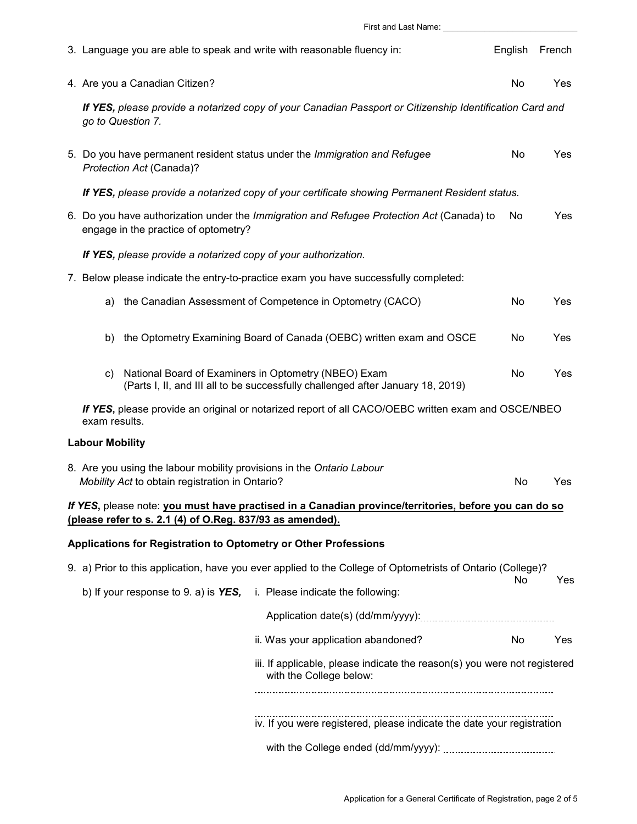|                                                                                                                                                                    | First and Last Name: _________                                                                                                                 |                                                                                                                                         |         |        |  |  |  |
|--------------------------------------------------------------------------------------------------------------------------------------------------------------------|------------------------------------------------------------------------------------------------------------------------------------------------|-----------------------------------------------------------------------------------------------------------------------------------------|---------|--------|--|--|--|
|                                                                                                                                                                    | 3. Language you are able to speak and write with reasonable fluency in:                                                                        |                                                                                                                                         | English | French |  |  |  |
|                                                                                                                                                                    | 4. Are you a Canadian Citizen?                                                                                                                 |                                                                                                                                         | No      | Yes    |  |  |  |
|                                                                                                                                                                    | If YES, please provide a notarized copy of your Canadian Passport or Citizenship Identification Card and<br>go to Question 7.                  |                                                                                                                                         |         |        |  |  |  |
|                                                                                                                                                                    | Protection Act (Canada)?                                                                                                                       | 5. Do you have permanent resident status under the Immigration and Refugee                                                              | No      | Yes    |  |  |  |
|                                                                                                                                                                    | If YES, please provide a notarized copy of your certificate showing Permanent Resident status.                                                 |                                                                                                                                         |         |        |  |  |  |
|                                                                                                                                                                    | 6. Do you have authorization under the Immigration and Refugee Protection Act (Canada) to<br>Yes<br>No<br>engage in the practice of optometry? |                                                                                                                                         |         |        |  |  |  |
|                                                                                                                                                                    | If YES, please provide a notarized copy of your authorization.                                                                                 |                                                                                                                                         |         |        |  |  |  |
|                                                                                                                                                                    | 7. Below please indicate the entry-to-practice exam you have successfully completed:                                                           |                                                                                                                                         |         |        |  |  |  |
|                                                                                                                                                                    | a)                                                                                                                                             | the Canadian Assessment of Competence in Optometry (CACO)                                                                               | No      | Yes    |  |  |  |
|                                                                                                                                                                    | b)                                                                                                                                             | the Optometry Examining Board of Canada (OEBC) written exam and OSCE                                                                    | No      | Yes    |  |  |  |
|                                                                                                                                                                    | $\mathsf{c}$                                                                                                                                   | National Board of Examiners in Optometry (NBEO) Exam<br>(Parts I, II, and III all to be successfully challenged after January 18, 2019) | No      | Yes    |  |  |  |
| If YES, please provide an original or notarized report of all CACO/OEBC written exam and OSCE/NBEO<br>exam results.                                                |                                                                                                                                                |                                                                                                                                         |         |        |  |  |  |
|                                                                                                                                                                    | <b>Labour Mobility</b>                                                                                                                         |                                                                                                                                         |         |        |  |  |  |
| 8. Are you using the labour mobility provisions in the Ontario Labour<br>Mobility Act to obtain registration in Ontario?<br>No<br>Yes                              |                                                                                                                                                |                                                                                                                                         |         |        |  |  |  |
| If YES, please note: you must have practised in a Canadian province/territories, before you can do so<br>(please refer to s. 2.1 (4) of O.Reg. 837/93 as amended). |                                                                                                                                                |                                                                                                                                         |         |        |  |  |  |
| Applications for Registration to Optometry or Other Professions                                                                                                    |                                                                                                                                                |                                                                                                                                         |         |        |  |  |  |
|                                                                                                                                                                    | 9. a) Prior to this application, have you ever applied to the College of Optometrists of Ontario (College)?                                    |                                                                                                                                         |         |        |  |  |  |
| b) If your response to 9. a) is $YES$ , i. Please indicate the following:                                                                                          |                                                                                                                                                | No                                                                                                                                      | Yes     |        |  |  |  |
|                                                                                                                                                                    |                                                                                                                                                |                                                                                                                                         |         |        |  |  |  |
|                                                                                                                                                                    |                                                                                                                                                | ii. Was your application abandoned?                                                                                                     | No      | Yes    |  |  |  |
|                                                                                                                                                                    | iii. If applicable, please indicate the reason(s) you were not registered<br>with the College below:                                           |                                                                                                                                         |         |        |  |  |  |
|                                                                                                                                                                    | iv. If you were registered, please indicate the date your registration                                                                         |                                                                                                                                         |         |        |  |  |  |
|                                                                                                                                                                    |                                                                                                                                                |                                                                                                                                         |         |        |  |  |  |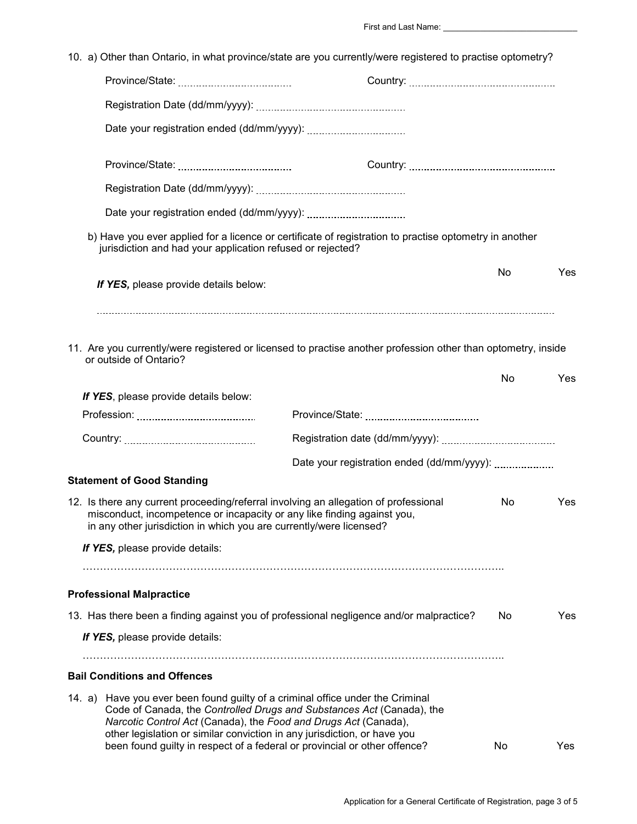|        | 10. a) Other than Ontario, in what province/state are you currently/were registered to practise optometry?                                                                                                                                                                                                                                                                   |     |      |  |
|--------|------------------------------------------------------------------------------------------------------------------------------------------------------------------------------------------------------------------------------------------------------------------------------------------------------------------------------------------------------------------------------|-----|------|--|
|        |                                                                                                                                                                                                                                                                                                                                                                              |     |      |  |
|        |                                                                                                                                                                                                                                                                                                                                                                              |     |      |  |
|        |                                                                                                                                                                                                                                                                                                                                                                              |     |      |  |
|        |                                                                                                                                                                                                                                                                                                                                                                              |     |      |  |
|        |                                                                                                                                                                                                                                                                                                                                                                              |     |      |  |
|        |                                                                                                                                                                                                                                                                                                                                                                              |     |      |  |
|        | b) Have you ever applied for a licence or certificate of registration to practise optometry in another<br>jurisdiction and had your application refused or rejected?                                                                                                                                                                                                         |     |      |  |
|        | If YES, please provide details below:                                                                                                                                                                                                                                                                                                                                        | No  | Yes  |  |
|        | 11. Are you currently/were registered or licensed to practise another profession other than optometry, inside<br>or outside of Ontario?                                                                                                                                                                                                                                      | No  | Yes  |  |
|        | If YES, please provide details below:                                                                                                                                                                                                                                                                                                                                        |     |      |  |
|        |                                                                                                                                                                                                                                                                                                                                                                              |     |      |  |
|        |                                                                                                                                                                                                                                                                                                                                                                              |     |      |  |
|        |                                                                                                                                                                                                                                                                                                                                                                              |     |      |  |
|        | <b>Statement of Good Standing</b>                                                                                                                                                                                                                                                                                                                                            |     |      |  |
|        | 12. Is there any current proceeding/referral involving an allegation of professional<br>misconduct, incompetence or incapacity or any like finding against you,<br>in any other jurisdiction in which you are currently/were licensed?                                                                                                                                       | No. | Yes  |  |
|        | If YES, please provide details:                                                                                                                                                                                                                                                                                                                                              |     |      |  |
|        | <b>Professional Malpractice</b>                                                                                                                                                                                                                                                                                                                                              |     |      |  |
|        | 13. Has there been a finding against you of professional negligence and/or malpractice?                                                                                                                                                                                                                                                                                      | No  | Yes. |  |
|        | If YES, please provide details:                                                                                                                                                                                                                                                                                                                                              |     |      |  |
|        | <b>Bail Conditions and Offences</b>                                                                                                                                                                                                                                                                                                                                          |     |      |  |
| 14. a) | Have you ever been found guilty of a criminal office under the Criminal<br>Code of Canada, the Controlled Drugs and Substances Act (Canada), the<br>Narcotic Control Act (Canada), the Food and Drugs Act (Canada),<br>other legislation or similar conviction in any jurisdiction, or have you<br>been found guilty in respect of a federal or provincial or other offence? | No  | Yes  |  |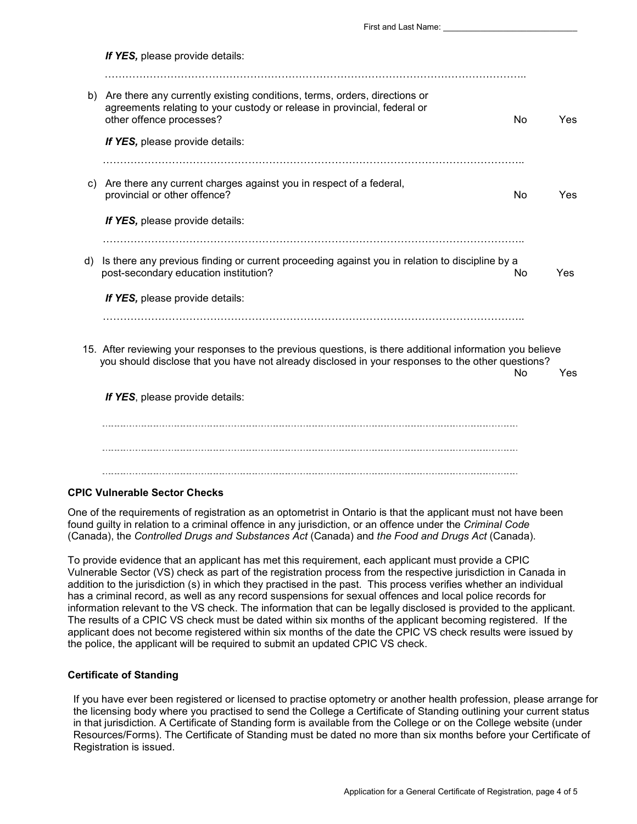|    | If YES, please provide details:                                                                                                                                                                                |    |     |
|----|----------------------------------------------------------------------------------------------------------------------------------------------------------------------------------------------------------------|----|-----|
|    | b) Are there any currently existing conditions, terms, orders, directions or<br>agreements relating to your custody or release in provincial, federal or<br>other offence processes?                           | No | Yes |
|    | If YES, please provide details:                                                                                                                                                                                |    |     |
|    | Are there any current charges against you in respect of a federal,<br>C)<br>provincial or other offence?                                                                                                       | No | Yes |
|    | If YES, please provide details:                                                                                                                                                                                |    |     |
| d) | Is there any previous finding or current proceeding against you in relation to discipline by a<br>post-secondary education institution?                                                                        | No | Yes |
|    | If YES, please provide details:                                                                                                                                                                                |    |     |
|    |                                                                                                                                                                                                                |    |     |
|    | 15. After reviewing your responses to the previous questions, is there additional information you believe<br>you should disclose that you have not already disclosed in your responses to the other questions? | No | Yes |
|    | If YES, please provide details:                                                                                                                                                                                |    |     |
|    |                                                                                                                                                                                                                |    |     |
|    |                                                                                                                                                                                                                |    |     |

#### **CPIC Vulnerable Sector Checks**

One of the requirements of registration as an optometrist in Ontario is that the applicant must not have been found guilty in relation to a criminal offence in any jurisdiction, or an offence under the *Criminal Code*  (Canada), the *Controlled Drugs and Substances Act* (Canada) and *the Food and Drugs Act* (Canada).

To provide evidence that an applicant has met this requirement, each applicant must provide a CPIC Vulnerable Sector (VS) check as part of the registration process from the respective jurisdiction in Canada in addition to the jurisdiction (s) in which they practised in the past. This process verifies whether an individual has a criminal record, as well as any record suspensions for sexual offences and local police records for information relevant to the VS check. The information that can be legally disclosed is provided to the applicant. The results of a CPIC VS check must be dated within six months of the applicant becoming registered. If the applicant does not become registered within six months of the date the CPIC VS check results were issued by the police, the applicant will be required to submit an updated CPIC VS check.

### **Certificate of Standing**

If you have ever been registered or licensed to practise optometry or another health profession, please arrange for the licensing body where you practised to send the College a Certificate of Standing outlining your current status in that jurisdiction. A Certificate of Standing form is available from the College or on the College website (under Resources/Forms). The Certificate of Standing must be dated no more than six months before your Certificate of Registration is issued.